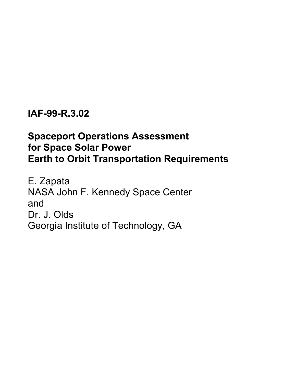## **IAF-99-R.3.02**

# **Spaceport Operations Assessment for Space Solar Power Earth to Orbit Transportation Requirements**

E. Zapata NASA John F. Kennedy Space Center and Dr. J. Olds Georgia Institute of Technology, GA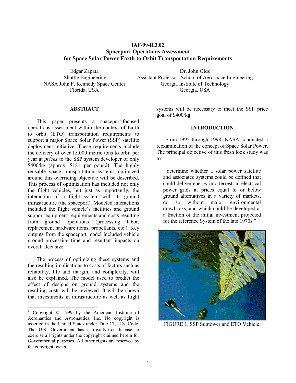## **IAF-99-R.3.02 Spaceport Operations Assessment for Space Solar Power Earth to Orbit Transportation Requirements**

Edgar Zapata Dr. John Olds

 Shuttle Engineering Assistant Professor, School of Aerospace Engineering NASA John F. Kennedy Space Center Georgia Institute of Technology Florida, USA Georgia, USA

## **1 ABSTRACT**

This paper presents a spaceport-focused operations assessment within the context of Earth to orbit (ETO) transportation requirements to support a major Space Solar Power (SSP) satellite deployment initiative. These requirements include the delivery of over 15,000 metric tons to orbit per year at *prices* to the SSP system developer of only \$400/kg (approx. \$181 per pound). The highly reusable space transportation systems optimized around this overriding objective will be described. This process of optimization has included not only the flight vehicles, but just as importantly, the interaction of a flight system with its ground infrastructure (the spaceport). Modeled interactions included the flight vehicle's facilities and ground support equipment requirements and costs resulting from ground operations (processing labor, replacement hardware items, propellants, etc.). Key outputs from the spaceport model included vehicle ground processing time and resultant impacts on overall fleet size.

The process of optimizing these systems and the resulting implications to costs of factors such as reliability, life and margin, and complexity, will also be explained. The model used to predict the effect of designs on ground systems and the resulting costs will be reviewed. It will be shown that investments in infrastructure as well as flight

-

systems will be necessary to meet the SSP price goal of \$400/kg.

## **INTRODUCTION**

From 1995 through 1998, NASA conducted a reexamination of the concept of Space Solar Power. The principal objective of this fresh look study was to:

 "determine whether a solar power satellite and associated systems could be defined that could deliver energy into terrestrial electrical power grids at prices equal to or below ground alternatives in a variety of markets, do so without major environmental drawbacks, and which could be developed at a fraction of the initial investment projected for the reference System of the late 1970s."



FIGURE 1. SSP Suntower and ETO Vehicle.

<sup>&</sup>lt;sup>1</sup> Copyright © 1999 by the American Institute of Aeronautics and Astronautics, Inc. No copyright is asserted in the United States under Title 17, U.S. Code. The U.S. Government has a royalty-free license to exercise all rights under the copyright claimed herein for Governmental purposes. All other rights are reserved by the copyright owner.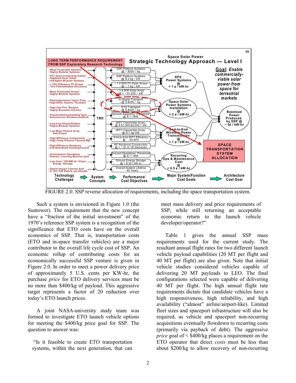

FIGURE 2.0. SSP reverse allocation of requirements, including the space transportation system.

Such a system is envisioned in Figure 1.0 (the Suntower). The requirement that the new concept have a "fraction of the initial investment" of the 1970's reference SSP system is a recognition of the significance that ETO costs have on the overall economics of SSP. That is, transportation costs (ETO and in-space transfer vehicles) are a major contributor to the overall life cycle cost of SSP. An economic rollup of contributing costs for an economically successful SSP venture is given in Figure 2.0. In order to meet a power delivery price of approximately 5 U.S. cents per KW-hr, the purchase *price* for ETO delivery services must be no more than \$400/kg of payload. This aggressive target represents a factor of 20 reduction over today's ETO launch prices.

A joint NASA-university study team was formed to investigate ETO launch vehicle options for meeting the \$400/kg price goal for SSP. The question to answer was:

 "Is it feasible to create ETO transportation systems, within the next generation, that can meet mass delivery and price requirements of SSP, while still returning an acceptable economic return to the launch vehicle developer/operator?"

Table 1 gives the annual SSP mass requirements used for the current study. The resultant annual flight rates for two different launch vehicle payload capabilities (20 MT per flight and 40 MT per flight) are also given. Note that initial vehicle studies considered vehicles capable of delivering 20 MT payloads to LEO. The final configurations selected were capable of delivering 40 MT per flight. The high annual flight rate requirements dictate that candidate vehicles have a high responsiveness, high reliability, and high availability ("almost" airline/airport-like). Limited fleet sizes and spaceport infrastructure will also be required, as vehicle and spaceport non-recurring acquisitions eventually flowdown to recurring costs (primarily via payback of debt). The aggressive *price* goal of < \$400/kg places a requirement on the ETO operator that direct *costs* must be less than about \$200/kg to allow recovery of non-recurring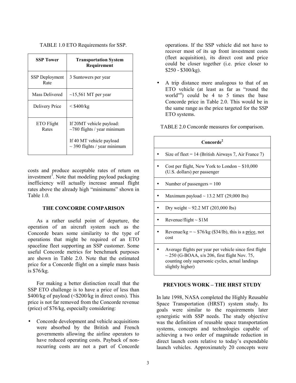TABLE 1.0 ETO Requirements for SSP.

| <b>SSP Tower</b>              | <b>Transportation System</b><br>Requirement                   |
|-------------------------------|---------------------------------------------------------------|
| <b>SSP</b> Deployment<br>Rate | 3 Suntowers per year                                          |
| Mass Delivered                | $\sim$ 15,561 MT per year                                     |
| Delivery Price                | $<$ \$400/kg                                                  |
| ETO Flight<br>Rates           | If 20MT vehicle payload:<br>$\sim$ 780 flights / year minimum |
|                               | If 40 MT vehicle payload<br>$\sim$ 390 flights / year minimum |

costs and produce acceptable rates of return on investment<sup>3</sup>. Note that modeling payload packaging inefficiency will actually increase annual flight rates above the already high "minimums" shown in Table 1.0

## **THE CONCORDE COMPARISON**

As a rather useful point of departure, the operation of an aircraft system such as the Concorde bears some similarity to the type of operations that might be required of an ETO spaceline fleet supporting an SSP customer. Some useful Concorde metrics for benchmark purposes are shown in Table 2.0. Note that the estimated price for a Concorde flight on a simple mass basis is \$76/kg.

For making a better distinction recall that the SSP ETO challenge is to have a price of less than  $$400/kg$  of payload (< $$200/kg$  in direct costs). This price is not far removed from the Concorde revenue (price) of \$76/kg, especially considering:

• Concorde development and vehicle acquisitions were absorbed by the British and French governments allowing the airline operators to have reduced operating costs. Payback of nonrecurring costs are not a part of Concorde operations. If the SSP vehicle did not have to recover most of its up front investment costs (fleet acquisition), its direct cost and price could be closer together (i.e. price closer to \$250 - \$300/kg).

• A trip distance more analogous to that of an ETO vehicle (at least as far as "round the world"<sup>4</sup>) could be 4 to 5 times the base Concorde price in Table 2.0. This would be in the same range as the price targeted for the SSP ETO systems.

TABLE 2.0 Concorde measures for comparison.

| Concorde <sup>2</sup> |                                                                                                                                                                                       |  |  |  |
|-----------------------|---------------------------------------------------------------------------------------------------------------------------------------------------------------------------------------|--|--|--|
|                       | Size of fleet = $14$ (British Airways 7, Air France 7)                                                                                                                                |  |  |  |
|                       | Cost per flight, New York to London $\sim $10,000$<br>(U.S. dollars) per passenger                                                                                                    |  |  |  |
|                       | Number of passengers $= 100$                                                                                                                                                          |  |  |  |
|                       | Maximum payload $\sim$ 13.2 MT (29,000 lbs)                                                                                                                                           |  |  |  |
|                       | Dry weight $\sim$ 92.2 MT (203,000 lbs)                                                                                                                                               |  |  |  |
|                       | Revenue/flight $\sim$ \$1M                                                                                                                                                            |  |  |  |
|                       | Revenue/kg = $\sim$ \$76/kg (\$34/lb), this is a price, not<br>cost                                                                                                                   |  |  |  |
|                       | Average flights per year per vehicle since first flight<br>$\sim$ 250 (G-BOAA, s/n 206, first flight Nov. 75,<br>counting only supersonic cycles, actual landings<br>slightly higher) |  |  |  |

## **PREVIOUS WORK – THE HRST STUDY**

In late 1998, NASA completed the Highly Reusable Space Transportation (HRST) system study. Its goals were similar to the requirements later synergistic with SSP needs. The study objective was the definition of reusable space transportation systems, concepts and technologies capable of achieving a two order of magnitude reduction in direct launch costs relative to today's expendable launch vehicles. Approximately 20 concepts were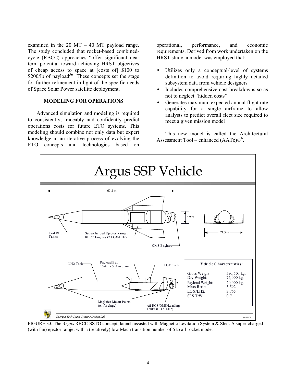examined in the 20 MT – 40 MT payload range. The study concluded that rocket-based combinedcycle (RBCC) approaches "offer significant near term potential toward achieving HRST objectives of cheap access to space at [costs of] \$100 to \$200/lb of payload<sup>5</sup>". These concepts set the stage for further refinement in light of the specific needs of Space Solar Power satellite deployment.

## **MODELING FOR OPERATIONS**

Advanced simulation and modeling is required to consistently, traceably and confidently predict operations costs for future ETO systems. This modeling should combine not only data but expert knowledge in an iterative process of evolving the ETO concepts and technologies based on

operational, performance, and economic requirements. Derived from work undertaken on the HRST study, a model was employed that:

- Utilizes only a conceptual-level of systems definition to avoid requiring highly detailed subsystem data from vehicle designers
- Includes comprehensive cost breakdowns so as not to neglect "hidden costs"
- Generates maximum expected annual flight rate capability for a single airframe to allow analysts to predict overall fleet size required to meet a given mission model

This new model is called the Architectural Assessment Tool – enhanced  $(AATe)$  $\mathbb{O}^6$ .



FIGURE 3.0 The *Argus* RBCC SSTO concept, launch assisted with Magnetic Levitation System & Sled. A super-charged (with fan) ejector ramjet with a (relatively) low Mach transition number of 6 to all-rocket mode.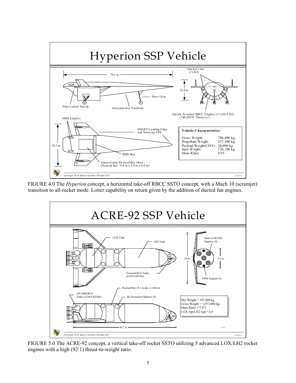

FIGURE 4.0 The *Hyperion* concept, a horizontal take-off RBCC SSTO concept, with a Mach 10 (scramjet) transition to all-rocket mode. Loiter capability on return given by the addition of ducted fan engines.



FIGURE 5.0 The ACRE-92 concept, a vertical take-off rocket SSTO utilizing 5 advanced LOX/LH2 rocket engines with a high (92:1) thrust-to-weight ratio.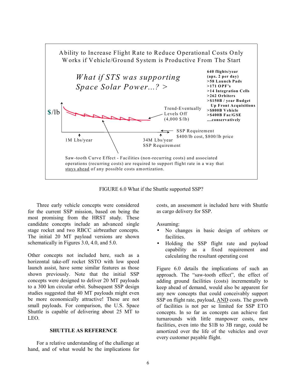

FIGURE 6.0 What if the Shuttle supported SSP?

Three early vehicle concepts were considered for the current SSP mission, based on being the most promising from the HRST study. These candidate concepts include an advanced single stage rocket and two RBCC airbreather concepts. The initial 20 MT payload versions are shown schematically in Figures 3.0, 4.0, and 5.0.

Other concepts not included here, such as a horizontal take-off rocket SSTO with low speed launch assist, have some similar features as those shown previously. Note that the initial SSP concepts were designed to deliver 20 MT payloads to a 300 km circular orbit. Subsequent SSP design studies suggested that 40 MT payloads might even be more economically attractive! These are not small payloads. For comparison, the U.S. Space Shuttle is capable of delivering about 25 MT to LEO.

#### **SHUTTLE AS REFERENCE**

For a relative understanding of the challenge at hand, and of what would be the implications for costs, an assessment is included here with Shuttle as cargo delivery for SSP.

Assuming:

- No changes in basic design of orbiters or facilities.
- Holding the SSP flight rate and payload capability as a fixed requirement and calculating the resultant operating cost

Figure 6.0 details the implications of such an approach. The "saw-tooth effect", the effect of adding ground facilities (costs) incrementally to keep ahead of demand, would also be apparent for any new concepts that could conceivably support SSP on flight rate, payload, AND costs. The growth of facilities is not per se limited for SSP ETO concepts. In so far as concepts can achieve fast turnarounds with little manpower costs, new facilities, even into the \$1B to 3B range, could be amortized over the life of the vehicles and over every customer payable flight.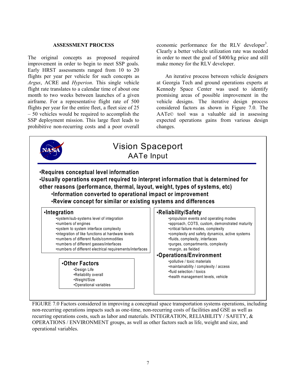#### **ASSESSMENT PROCESS**

The original concepts as proposed required improvement in order to begin to meet SSP goals. Early HRST assessments ranged from 10 to 20 flights per year per vehicle for such concepts as *Argus*, ACRE and *Hyperion*. This single vehicle flight rate translates to a calendar time of about one month to two weeks between launches of a given airframe. For a representative flight rate of 500 flights per year for the entire fleet, a fleet size of 25 – 50 vehicles would be required to accomplish the SSP deployment mission. This large fleet leads to prohibitive non-recurring costs and a poor overall

economic performance for the RLV developer<sup>3</sup>. Clearly a better vehicle utilization rate was needed in order to meet the goal of \$400/kg price and still make money for the RLV developer.

An iterative process between vehicle designers at Georgia Tech and ground operations experts at Kennedy Space Center was used to identify promising areas of possible improvement in the vehicle designs. The iterative design process considered factors as shown in Figure 7.0. The AATe© tool was a valuable aid in assessing expected operations gains from various design changes.



FIGURE 7.0 Factors considered in improving a conceptual space transportation systems operations, including non-recurring operations impacts such as one-time, non-recurring costs of facilities and GSE as well as recurring operations costs, such as labor and materials. INTEGRATION, RELIABILITY / SAFETY, & OPERATIONS / ENVIRONMENT groups, as well as other factors such as life, weight and size, and operational variables.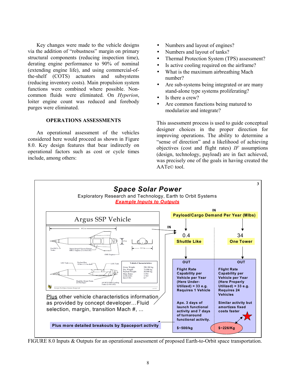Key changes were made to the vehicle designs via the addition of "robustness" margin on primary structural components (reducing inspection time), derating engine performance to 90% of nominal (extending engine life), and using commercial-ofthe-shelf (COTS) actuators and subsystems (reducing inventory costs). Main propulsion system functions were combined where possible. Noncommon fluids were eliminated. On *Hyperion*, loiter engine count was reduced and forebody purges were eliminated.

## **OPERATIONS ASSESSMENTS**

An operational assessment of the vehicles considered here would proceed as shown in Figure 8.0. Key design features that bear indirectly on operational factors such as cost or cycle times include, among others:

- Numbers and layout of engines?
- Numbers and layout of tanks?
- Thermal Protection System (TPS) assessment?
- Is active cooling required on the airframe?
- What is the maximum airbreathing Mach number?
- Are sub-systems being integrated or are many stand-alone type systems proliferating?
- Is there a crew?
- Are common functions being matured to modularize and integrate?

This assessment process is used to guide conceptual designer choices in the proper direction for improving operations. The ability to determine a "sense of direction" and a likelihood of achieving objectives (cost and flight rates) *IF* assumptions (design, technology, payload) are in fact achieved, was precisely one of the goals in having created the AATe© tool.



FIGURE 8.0 Inputs & Outputs for an operational assessment of proposed Earth-to-Orbit space transportation.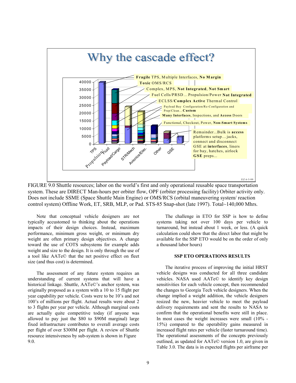

FIGURE 9.0 Shuttle resources; labor on the world's first and only operational reusable space transportation system. These are DIRECT Man-hours per orbiter flow, OPF (orbiter processing facility) Orbiter activity only. Does not include SSME (Space Shuttle Main Engine) or OMS/RCS (orbital maneuvering system/ reaction control system) Offline Work, ET, SRB, MLP, or Pad. STS-85 Snap-shot (late 1997). Total~140,000 Mhrs.

Note that conceptual vehicle designers are not typically accustomed to thinking about the operations impacts of their design choices. Instead, maximum performance, minimum gross weight, or minimum dry weight are often primary design objectives. A change toward the use of COTS subsystems for example adds weight and size to the design. It is only through the use of a tool like AATe© that the net positive effect on fleet size (and thus cost) is determined.

The assessment of any future system requires an understanding of current systems that will have a historical linkage. Shuttle, AATe©'s anchor system, was originally proposed as a system with a 10 to 15 flight per year capability per vehicle. Costs were to be 10's and not 100's of millions per flight. Actual results were about 2 to 3 flights per year per vehicle. Although marginal costs are actually quite competitive today (if anyone was allowed to pay just the \$80 to \$90M marginal) large fixed infrastructure contributes to overall average costs per flight of over \$300M per flight. A review of Shuttle resource intensiveness by sub-system is shown in Figure 9.0.

The challenge in ETO for SSP is how to define systems taking not over 100 days per vehicle to turnaround, but instead about 1 week, or less. (A quick calculation could show that the direct labor that might be available for the SSP ETO would be on the order of only a thousand labor hours)

#### **SSP ETO OPERATIONS RESULTS**

The iterative process of improving the initial HRST vehicle designs was conducted for all three candidate vehicles. NASA used AATe© to identify key design sensitivities for each vehicle concept, then recommended the changes to Georgia Tech vehicle designers. When the change implied a weight addition, the vehicle designers resized the new, heavier vehicle to meet the payload delivery requirements and sent the results to NASA to confirm that the operational benefits were still in place. In most cases the weight increases were small (10% - 15%) compared to the operability gains measured in increased flight rates per vehicle (faster turnaround time). The operational assessments of the concepts previously outlined, as updated for AATe© version 1.0, are given in Table 3.0. The data is in expected flights per airframe per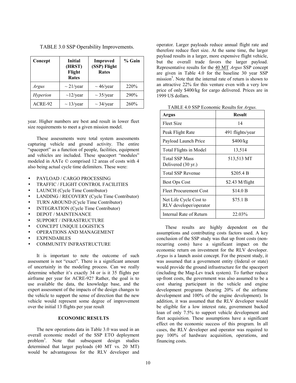| Concept         | <b>Initial</b><br>(HRST)<br>Flight<br><b>Rates</b> | <b>Improved</b><br>(SSP) Flight<br><b>Rates</b> | % Gain |
|-----------------|----------------------------------------------------|-------------------------------------------------|--------|
| Argus           | $\sim$ 21/year                                     | $\sim$ 46/year                                  | 220%   |
| <i>Hyperion</i> | $\sim$ 12/year                                     | $\sim$ 35/year                                  | 290%   |
| ACRE-92         | $\sim$ 13/year                                     | $\sim$ 34/year                                  | 260%   |

TABLE 3.0 SSP Operability Improvements.

year. Higher numbers are best and result in lower fleet size requirements to meet a given mission model.

These assessments were total system assessments capturing vehicle and ground activity. The entire "spaceport" as a function of people, facilities, equipment and vehicles are included. These spaceport "modules" modeled in AATe © comprised 12 areas of costs with 4 also being actual cycle time delimiters. These were:

- PAYLOAD / CARGO PROCESSING
- TRAFFIC / FLIGHT CONTROL FACILITIES
- LAUNCH (Cycle Time Contributor)
- LANDING / RECOVERY (Cycle Time Contributor)
- TURN AROUND (Cycle Time Contributor)
- INTEGRATION (Cycle Time Contributor)
- DEPOT / MAINTENANCE
- SUPPORT / INFRASTRUCTURE
- CONCEPT UNIQUE LOGISTICS
- OPERATIONS AND MANAGEMENT
- **EXPENDABLES**
- COMMUNITY INFRASTRUCTURE

It is important to note the outcome of such assessment is not "exact". There is a significant amount of uncertainly in the modeling process. Can we really determine whether it's exactly 34 or is it 35 flights per airframe per year for ACRE-92? Rather, the goal is to use available the data, the knowledge base, and the expert assessment of the impacts of the design changes to the vehicle to support the sense of direction that the new vehicle would represent some degree of improvement over the initial 13 flights per year result

#### **ECONOMIC RESULTS**

The new operations data in Table 3.0 was used in an overall economic model of the SSP ETO deployment problem<sup>3</sup>. Note that subsequent design studies determined that larger payloads (40 MT vs. 20 MT) would be advantageous for the RLV developer and

operator. Larger payloads reduce annual flight rate and therefore reduce fleet size. At the same time, the larger payload results in a larger, more expensive flight vehicle, but the overall trade favors the larger payload. Representative results for the 40 MT *Argus* SSP concept are given in Table 4.0 for the baseline 30 year SSP mission<sup>3</sup>. Note that the internal rate of return is shown to an attractive 22% for this venture even with a very low price of only \$400/kg for cargo delivered. Prices are in 1999 US dollars.

| TABLE 4.0 SSP Economic Results for Argus. |  |  |  |
|-------------------------------------------|--|--|--|
|-------------------------------------------|--|--|--|

| Argus                                            | <b>Result</b>    |
|--------------------------------------------------|------------------|
| <b>Fleet Size</b>                                | 14               |
| Peak Flight Rate                                 | 491 flights/year |
| Payload Launch Price                             | \$400/kg         |
| Total Flights in Model                           | 13,514           |
| <b>Total SSP Mass</b><br>Delivered (30 yr.)      | 513,513 MT       |
| <b>Total SSP Revenue</b>                         | \$205.4 B        |
| <b>Best Ops Cost</b>                             | $$2.43$ M/flight |
| <b>Fleet Procurement Cost</b>                    | \$14.0 B         |
| Net Life Cycle Cost to<br>RLV developer/operator | \$75.1 B         |
| Internal Rate of Return                          | 22.03%           |

These results are highly dependent on the assumptions and contributing costs factors used. A key conclusion of the SSP study was that up front costs (nonrecurring costs) have a significant impact on the economic return on investment for the RLV developer. *Argus* is a launch assist concept. For the present study, it was assumed that a government entity (federal or state) would provide the ground infrastructure for the spaceport (including the Mag-Lev track system). To further reduce up-front costs, the government was also assumed to be a cost sharing participant in the vehicle and engine development programs (bearing 20% of the airframe development and 100% of the engine development). In addition, it was assumed that the RLV developer would be eligible for a low interest rate, government backed loan of only 7.5% to support vehicle development and fleet acquisition. These assumptions have a significant effect on the economic success of this program. In all cases, the RLV developer and operator was required to pay 100% of hardware acquisition, operations, and financing costs.